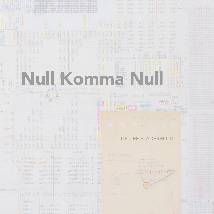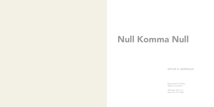# Null Komma Null

# DETLEF E. ADERHOLD

Rogue Space Chelsea Rogue Foundation

508 West 26 St, 9 F New York, NY 10001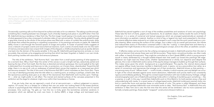<sub>4</sub> accurately, they animate as by engaging and exching that which has been lorgotten or haded in our own himids.<br>Each painting crackles with association and sensuous pleasure. with coffee, or heavily thinned paint. They m Occasionally a painting calls out from beyond its surface and asks us for our attention. The asking is polite enough, something like a meeting between two strangers. Such a friendly meeting took place in July 2014 when I first met Mr. Aderhold during a residency in New York City. The first image I recall seeing in his studio was a small painting of what appeared to be a ship composed of unbroken slabs of rust-red and yellow. The ship silently glided through a grey-blue channel as the whole of the picture plane was filled with a nexus of confetti-like polychromatic drips and drops that unified the painting in a sparkling composition. In his paintings and works on paper, Mr. Aderhold deftly moves in and through the twinned spaces of image and surface. A cluster of painted marks suggests at once a network of synaptic events and neurochemical reactions. Such a series of events leads one into the realm of memory and association (we conjure forth images of the shipyard, a childhood party) but just as quickly delivers one back into the domain of the purely sensible. In this way, Mr. Aderhold's paintings become *animate,* or, more accurately, they animate us by engaging and exciting that which has been forgotten or faded in our own minds. Each painting crackles with association and sensuous pleasure.

The title of the exhibition, "Null Komma Null," was taken from a small square painting of what appears to be a woman's face. Why a face? Near the center of the canvas is a pair a bright red lips, seductively parted and bearing the tips of her front teeth. But this face is distorted and almost grotesque; the round eyeball at the right is dislocated from its socket and there are no lids, no protection, so it hovers there, *disembodied.* Toward the left edge, there is no eye at all; only an arabesque of stained black canvas that registers as a mascaraed eye which has become smeared. The title of this work is *Null Komma Null* (2011) which translates as *Zero Point Zero.* There is no way of identifying precisely what the title refers to; a starting point, an ending or perhaps, a blank slate. But the eponymous painting does give us an idea of the resonances that Aderhold's work touches upon. Feelings. Or — what we might prefer to call affect. The marred and stained surfaces of the canvases presented in this exhibition set the stage for whatever might occur within their boundaries or frames.

If we are lucky, then we can approach a work of art at zero-point-zero — without judgement or preconception. Of course, this is a fantasy (or a fallacy) that one can enter into looking freed of the biases (political, cultural or psychological) that influence what we see. Aderhold is keenly attuned to the psyche and its myriad processes. One could say, "he gets us," but this too is tricky given the (sometimes extreme) variations in perception which are defined by one's own brain. In *Aufriss* (2007), a large collage and text-based work,

*The psyche jumps-old toy, doll or clown-brought into fantastic focus and then cast aside into the dump; internal drama played out against diffuse rituals. The question of intensities unmet by reality and so of excess shaky autonomy of being a self, capable at times of dividing into proximate agitated figures, provenance of fiction and dream. -Ann Lauterbach*

> Aderhold has pieced together a sort of map of the endless possibilities and variations of one's own psychology. These take the form of charts, graphs and illustrations. As an aesthetic object, *Aufriss* recalls the work of Hanne Darboven: it is a series of numerical and textual sequences which are arranged systematically-an example of *pure information* as aesthetic material. *Ausfriss* is a kind of key or legend into each work presented in the show: its contents (affective states reduced to an index) are arranged in such a way that the work overall reads as a complex drawing. When scanning the surface of this collage, one is taken in by its overall grid structure, the infinite and indiscernible chains of information contained within it. But the "coding" is interrupted here and there by a pictograph that might illustrate on the one hand, a psychological concept, and on the other, an aesthetic concern.

> If affective states can be said to be the unifying conceptual principle in Aderhold's practice then *the stain* is the formal element that sutures these *seen* and *felt* encounters. These stains: amorphous bodies, are often made mouth is nearly obliterated by a thought bubble-shaped stain that swells out toward the painting's left edge. Whatever we might read into these works, whether representational or wholly non objective (and despite first glances, this is rare in Aderhold's work) a sense of the psyche always manages to bubble up through their surfaces. This makes sense given the artist's background as a psychotherapist. The psyche, the *internal drama played out against diffuse rituals,* becomes manifest in Aderhold's work, it seems, not as a precondition but rather, as a series of connections and resonances that emerge out of their production. Aderhold shows us that painting one among many of such "diffuse rituals" — is still a locale, a theatre, in which surprise, pain and delight can occur. In light of the critical rebuttals against some recent abstraction, Aderhold's work proves itself to be consistently rigorous and endlessly gratifying. Through his constant experimentation with new modes (tracery, frottage, collage and photography) each one of Aderhold's paintings holds within it a feeling of stumbling upon something — like a surprise, or a gift. In this way, I would liken Aderhold's work to Chris Martin's, for both painters enjoy a free and unbounded play with media. In a recent series of collage-based works, Aderhold molds paint-stained cloths into bird or mantis-like forms and perches these on solid bands of color. This series is called *Wrapped,* and these small collages are perhaps Aderhold's most minimalist works to date. "Null Komma Null" is Aderhold's first solo exhibition in New York and is also the first time that this series will be exhibited. Like his more sustained and formally complex paintings, these playful "wrapped" constructions blossom before us.

> > Eric Sutphin, Critic and Curator October 2014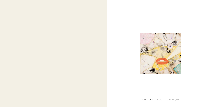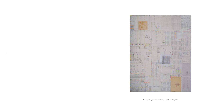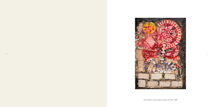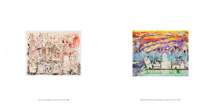

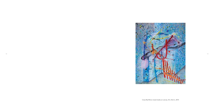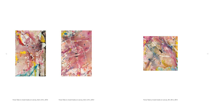



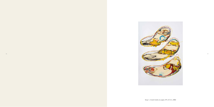

Sway 1, mixed media on paper, 39 x 27,5 in, 2002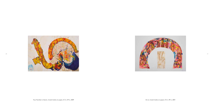

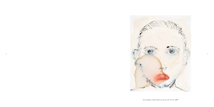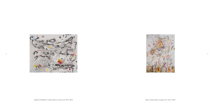



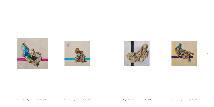





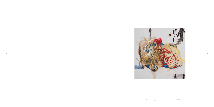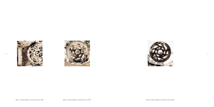



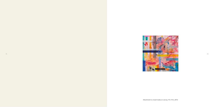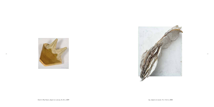

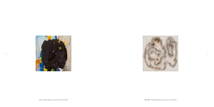

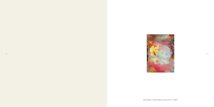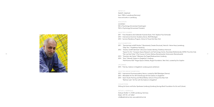

#### ARTIST CV

Detlef E. Aderhold born 1948 in Lueneburg (Germany) lives and works in Lueneburg

### EDUCATION

autodidact MA in Psychology (Universitaet Goettingen) PhD in Psychology (Universitaet Potsdam)

#### SELECTED COURSES

2011 Freie Akademie der bildenden Kuenste Essen, Prof. Stephan Paul Schneider 2013 International Summer Academy Venice, Wolf Werdigier 2014 Summer Residency Program, School of Visual Arts New York

# SOLO EXHIBITIONS

- 2011 "Spontanitaet schafft Struktur" [Spontaneity Creates Structure], Heinrich- Heine-Haus,Lueneburg; "Step Two," Projekthaus Hamburg
- 40 41 "Der Lauf der Farbe" [The Course of Color], Rathaus Bienenbuettel, Kulturverein Bienenbuettel 2012 "Struktur schafft Identitaet" [Structure Creates Identity], Ärztehaus Hannover "Space For Art," European Space Research and Technology Centre, Noordwijk (Netherlands), ESTEC Fine Arts Club
	- 2013 "Zwischen den Seiten" [Between the Pages] Ratsbuecherei Lüneburg
	- 2014 "Korn" [Kernel], Galerie im Zieglerhof, Lüneburg "Null Komma Null" Rogue Space Chelsea, Rogue Foundation, New York, curated by Eric Sutphin

# UPCOMING

2015 Title tba, Galerie im Zieglerhof, Lüneburg (solo exhibition)

# SELECTED GROUP EXHIBITIONS

- 2013 International Summeracademy Venice, curated by Wolf Werdigier (Vienna)
- 2013 Affordable Art Fair 2013 (Hamburg) with the Galerie im Zieglerhof
- 2014 Open Studio Painting and Mixed Media, School of Visual Arts New York "Berliner Liste" Art Fair with the Galerie im Zieglerhof

### COLLECTIONS

Stiftung für Kunst und Kultur Sparkasse Lüneburg (Lüneburg Savings Bank Foundation for Art and Culture)

#### DETLEF E. ADERHOLD

Soltauer Straße 11, 21335 Lueneburg, Germany Mobil +49 170 - 671 28 67 info@aderhold-art.de, www.aderhold-art.de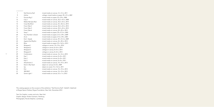# CONTENT

| 7  | Null Komma Null      | mixed media on canvas, 12 x 12 in, 2011         |
|----|----------------------|-------------------------------------------------|
| 9  | Aufriss              | collage, mixed media on paper, 59 x 47 in, 2007 |
| 11 | Pacone Big 2         | mixed media on paper, 55 x 39 in, 2004          |
| 12 | City 2               | mixed media on canvas, 35,5 x 43 in, 2008       |
| 13 | Makes My Eyes Rain   | mixed media on canvas, 35,5 x 43 in, 2014       |
| 15 | Cross My Mind        | mixed media on canvas, 43 x 35,5 in, 2014       |
| 16 | Force Take 2         | mixed media on canvas, 35,5 x 24 in, 2012       |
| 16 | Force Take 3         | mixed media on canvas, 35,5 x 24 in, 2012       |
| 17 | Force Take 6         | mixed media on canvas, 20 x 20 in, 2012         |
| 19 | Sway 1               | mixed media on paper, 39 x 27,5 in, 2002        |
| 20 | Your Number is Seven | mixed media on paper, 27,5 x 39 in, 2009        |
| 21 | Arc 6                | mixed media on paper, 27,5 x 39 in, 2001        |
| 23 | Don't Speak          | mixed media on canvas, 39 x 31,5 in, 2009       |
| 24 | Against the Rhythm   | mixed media on canvas, 24 x 30 in, 2014         |
| 25 | Blow                 | mixed media on paper, 22 x 16,5 in, 2013        |
| 26 | Wrapped 1            | collage on canvas, $10 \times 10$ in, 2014      |
| 26 | Wrapped 2            | collage on canvas, 8 x 8 in, 2014               |
| 27 | Wrapped 3            | collage on canvas, 8 x 8 in, 2014               |
| 27 | Wrapped 4            | collage on canvas, 8 x 8 in, 2014               |
| 29 | Combination          | mixed media on canvas, 16 x 16 in, 2010         |
| 30 | Exp 1                | mixed media on canvas, 8 x 8 in, 2011           |
| 30 | Exp 2                | mixed media on canvas, 8 x 8 in, 2011           |
| 31 | Exp 5                | mixed media on canvas, 8 x 8 in, 2011           |
| 33 | Attachment 2         | mixed media on canvas, 10 x 10 in, 2013         |
| 34 | Devil in My Heart    | object on canvas, 8 x 8 in, 2009                |
| 35 | Up                   | object on wood, 15 x 13,5 in, 2011              |
| 36 | Dot                  | mixed media on canvas, 10 x 10 in, 2013         |
| 37 | 300 MHZ              | mixed media on canvas, 10 x 10 in, 2012         |
| 39 | Some Light 1         | mixed media on canvas, 9,5 x 7 in, 2012         |
|    |                      |                                                 |

This catalog appears on the occasion of the exhibition "Null Komma Null", Detlef E. Aderhold at Rogue Space Chelsea, Rogue Foundation, New York, November 2014

Text: Eric Sutphin, curator and critic, New York Graphic design: Kirsten Gutmann, Hamburg Photography: Nicolai Stephan, Lueneburg